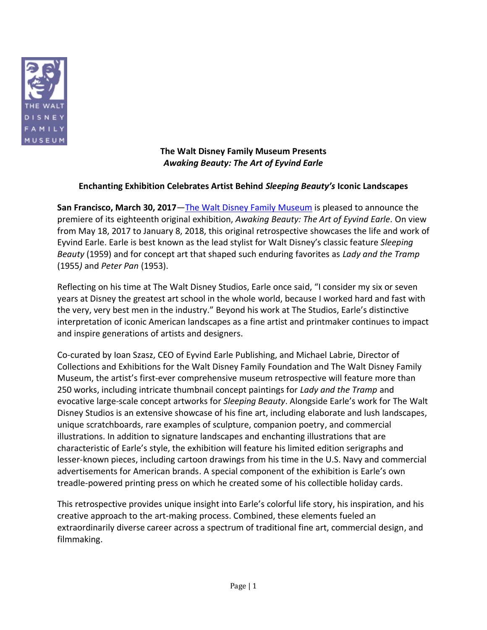

#### **The Walt Disney Family Museum Presents** *Awaking Beauty: The Art of Eyvind Earle*

## **Enchanting Exhibition Celebrates Artist Behind** *Sleeping Beauty's* **Iconic Landscapes**

**San Francisco, March 30, 2017**—[The Walt Disney Family](http://waltdisney.org/) Museum is pleased to announce the premiere of its eighteenth original exhibition, *Awaking Beauty: The Art of Eyvind Earle.* On view from May 18, 2017 to January 8, 2018, this original retrospective showcases the life and work of Eyvind Earle. Earle is best known as the lead stylist for Walt Disney's classic feature *Sleeping Beauty* (1959) and for concept art that shaped such enduring favorites as *Lady and the Tramp*  (1955*)* and *Peter Pan* (1953).

Reflecting on his time at The Walt Disney Studios, Earle once said, "I consider my six or seven years at Disney the greatest art school in the whole world, because I worked hard and fast with the very, very best men in the industry." Beyond his work at The Studios, Earle's distinctive interpretation of iconic American landscapes as a fine artist and printmaker continues to impact and inspire generations of artists and designers.

Co-curated by Ioan Szasz, CEO of Eyvind Earle Publishing, and Michael Labrie, Director of Collections and Exhibitions for the Walt Disney Family Foundation and The Walt Disney Family Museum, the artist's first-ever comprehensive museum retrospective will feature more than 250 works, including intricate thumbnail concept paintings for *Lady and the Tramp* and evocative large-scale concept artworks for *Sleeping Beauty*. Alongside Earle's work for The Walt Disney Studios is an extensive showcase of his fine art, including elaborate and lush landscapes, unique scratchboards, rare examples of sculpture, companion poetry, and commercial illustrations. In addition to signature landscapes and enchanting illustrations that are characteristic of Earle's style, the exhibition will feature his limited edition serigraphs and lesser-known pieces, including cartoon drawings from his time in the U.S. Navy and commercial advertisements for American brands. A special component of the exhibition is Earle's own treadle-powered printing press on which he created some of his collectible holiday cards.

This retrospective provides unique insight into Earle's colorful life story, his inspiration, and his creative approach to the art-making process. Combined, these elements fueled an extraordinarily diverse career across a spectrum of traditional fine art, commercial design, and filmmaking.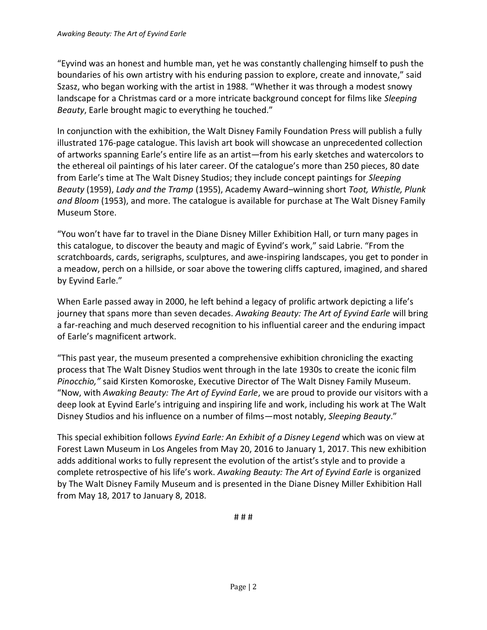"Eyvind was an honest and humble man, yet he was constantly challenging himself to push the boundaries of his own artistry with his enduring passion to explore, create and innovate," said Szasz, who began working with the artist in 1988. "Whether it was through a modest snowy landscape for a Christmas card or a more intricate background concept for films like *Sleeping Beauty*, Earle brought magic to everything he touched."

In conjunction with the exhibition, the Walt Disney Family Foundation Press will publish a fully illustrated 176-page catalogue. This lavish art book will showcase an unprecedented collection of artworks spanning Earle's entire life as an artist—from his early sketches and watercolors to the ethereal oil paintings of his later career. Of the catalogue's more than 250 pieces, 80 date from Earle's time at The Walt Disney Studios; they include concept paintings for *Sleeping Beauty* (1959), *Lady and the Tramp* (1955), Academy Award–winning short *Toot, Whistle, Plunk and Bloom* (1953), and more. The catalogue is available for purchase at The Walt Disney Family Museum Store.

"You won't have far to travel in the Diane Disney Miller Exhibition Hall, or turn many pages in this catalogue, to discover the beauty and magic of Eyvind's work," said Labrie. "From the scratchboards, cards, serigraphs, sculptures, and awe-inspiring landscapes, you get to ponder in a meadow, perch on a hillside, or soar above the towering cliffs captured, imagined, and shared by Eyvind Earle."

When Earle passed away in 2000, he left behind a legacy of prolific artwork depicting a life's journey that spans more than seven decades. *Awaking Beauty: The Art of Eyvind Earle* will bring a far-reaching and much deserved recognition to his influential career and the enduring impact of Earle's magnificent artwork.

"This past year, the museum presented a comprehensive exhibition chronicling the exacting process that The Walt Disney Studios went through in the late 1930s to create the iconic film *Pinocchio,"* said Kirsten Komoroske, Executive Director of The Walt Disney Family Museum. "Now, with *Awaking Beauty: The Art of Eyvind Earle*, we are proud to provide our visitors with a deep look at Eyvind Earle's intriguing and inspiring life and work, including his work at The Walt Disney Studios and his influence on a number of films—most notably, *Sleeping Beauty*."

This special exhibition follows *Eyvind Earle: An Exhibit of a Disney Legend* which was on view at Forest Lawn Museum in Los Angeles from May 20, 2016 to January 1, 2017. This new exhibition adds additional works to fully represent the evolution of the artist's style and to provide a complete retrospective of his life's work. *Awaking Beauty: The Art of Eyvind Earle* is organized by The Walt Disney Family Museum and is presented in the Diane Disney Miller Exhibition Hall from May 18, 2017 to January 8, 2018.

# # #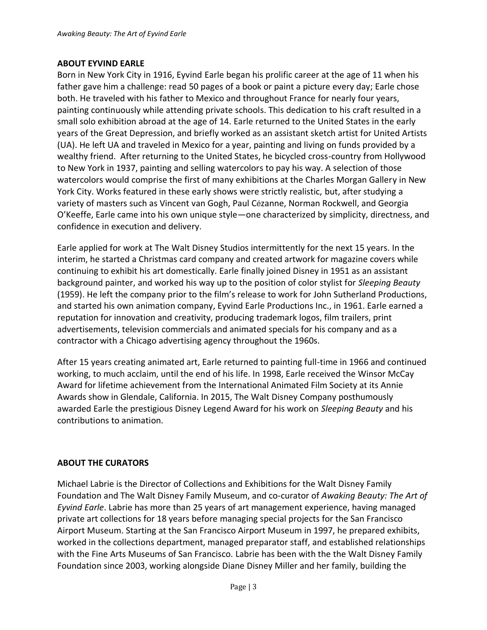### **ABOUT EYVIND EARLE**

Born in New York City in 1916, Eyvind Earle began his prolific career at the age of 11 when his father gave him a challenge: read 50 pages of a book or paint a picture every day; Earle chose both. He traveled with his father to Mexico and throughout France for nearly four years, painting continuously while attending private schools. This dedication to his craft resulted in a small solo exhibition abroad at the age of 14. Earle returned to the United States in the early years of the Great Depression, and briefly worked as an assistant sketch artist for United Artists (UA). He left UA and traveled in Mexico for a year, painting and living on funds provided by a wealthy friend. After returning to the United States, he bicycled cross-country from Hollywood to New York in 1937, painting and selling watercolors to pay his way. A selection of those watercolors would comprise the first of many exhibitions at the Charles Morgan Gallery in New York City. Works featured in these early shows were strictly realistic, but, after studying a variety of masters such as Vincent van Gogh, Paul Cézanne, Norman Rockwell, and Georgia O'Keeffe, Earle came into his own unique style—one characterized by simplicity, directness, and confidence in execution and delivery.

Earle applied for work at The Walt Disney Studios intermittently for the next 15 years. In the interim, he started a Christmas card company and created artwork for magazine covers while continuing to exhibit his art domestically. Earle finally joined Disney in 1951 as an assistant background painter, and worked his way up to the position of color stylist for *Sleeping Beauty* (1959). He left the company prior to the film's release to work for John Sutherland Productions, and started his own animation company, Eyvind Earle Productions Inc., in 1961. Earle earned a reputation for innovation and creativity, producing trademark logos, film trailers, print advertisements, television commercials and animated specials for his company and as a contractor with a Chicago advertising agency throughout the 1960s.

After 15 years creating animated art, Earle returned to painting full-time in 1966 and continued working, to much acclaim, until the end of his life. In 1998, Earle received the Winsor McCay Award for lifetime achievement from the International Animated Film Society at its Annie Awards show in Glendale, California. In 2015, The Walt Disney Company posthumously awarded Earle the prestigious Disney Legend Award for his work on *Sleeping Beauty* and his contributions to animation.

## **ABOUT THE CURATORS**

Michael Labrie is the Director of Collections and Exhibitions for the Walt Disney Family Foundation and The Walt Disney Family Museum, and co-curator of *Awaking Beauty: The Art of Eyvind Earle*. Labrie has more than 25 years of art management experience, having managed private art collections for 18 years before managing special projects for the San Francisco Airport Museum. Starting at the San Francisco Airport Museum in 1997, he prepared exhibits, worked in the collections department, managed preparator staff, and established relationships with the Fine Arts Museums of San Francisco. Labrie has been with the the Walt Disney Family Foundation since 2003, working alongside Diane Disney Miller and her family, building the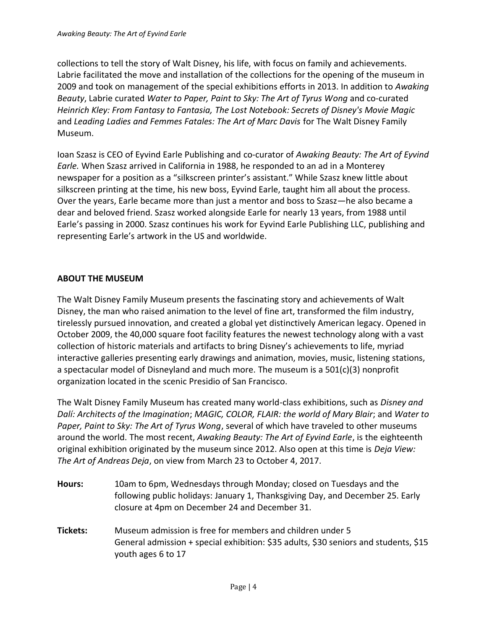collections to tell the story of Walt Disney, his life, with focus on family and achievements. Labrie facilitated the move and installation of the collections for the opening of the museum in 2009 and took on management of the special exhibitions efforts in 2013. In addition to *Awaking Beauty*, Labrie curated *Water to Paper, Paint to Sky: The Art of Tyrus Wong* and co-curated *Heinrich Kley: From Fantasy to Fantasia, The Lost Notebook: Secrets of Disney's Movie Magic* and *Leading Ladies and Femmes Fatales: The Art of Marc Davis* for The Walt Disney Family Museum.

Ioan Szasz is CEO of Eyvind Earle Publishing and co-curator of *Awaking Beauty: The Art of Eyvind Earle.* When Szasz arrived in California in 1988, he responded to an ad in a Monterey newspaper for a position as a "silkscreen printer's assistant." While Szasz knew little about silkscreen printing at the time, his new boss, Eyvind Earle, taught him all about the process. Over the years, Earle became more than just a mentor and boss to Szasz—he also became a dear and beloved friend. Szasz worked alongside Earle for nearly 13 years, from 1988 until Earle's passing in 2000. Szasz continues his work for Eyvind Earle Publishing LLC, publishing and representing Earle's artwork in the US and worldwide.

# **ABOUT THE MUSEUM**

The Walt Disney Family Museum presents the fascinating story and achievements of Walt Disney, the man who raised animation to the level of fine art, transformed the film industry, tirelessly pursued innovation, and created a global yet distinctively American legacy. Opened in October 2009, the 40,000 square foot facility features the newest technology along with a vast collection of historic materials and artifacts to bring Disney's achievements to life, myriad interactive galleries presenting early drawings and animation, movies, music, listening stations, a spectacular model of Disneyland and much more. The museum is a 501(c)(3) nonprofit organization located in the scenic Presidio of San Francisco.

The Walt Disney Family Museum has created many world-class exhibitions, such as *Disney and Dalí: Architects of the Imagination*; *MAGIC, COLOR, FLAIR: the world of Mary Blair*; and *Water to Paper, Paint to Sky: The Art of Tyrus Wong*, several of which have traveled to other museums around the world. The most recent, *Awaking Beauty: The Art of Eyvind Earle*, is the eighteenth original exhibition originated by the museum since 2012. Also open at this time is *Deja View: The Art of Andreas Deja*, on view from March 23 to October 4, 2017.

- **Hours:** 10am to 6pm, Wednesdays through Monday; closed on Tuesdays and the following public holidays: January 1, Thanksgiving Day, and December 25. Early closure at 4pm on December 24 and December 31.
- **Tickets:** Museum admission is free for members and children under 5 General admission + special exhibition: \$35 adults, \$30 seniors and students, \$15 youth ages 6 to 17